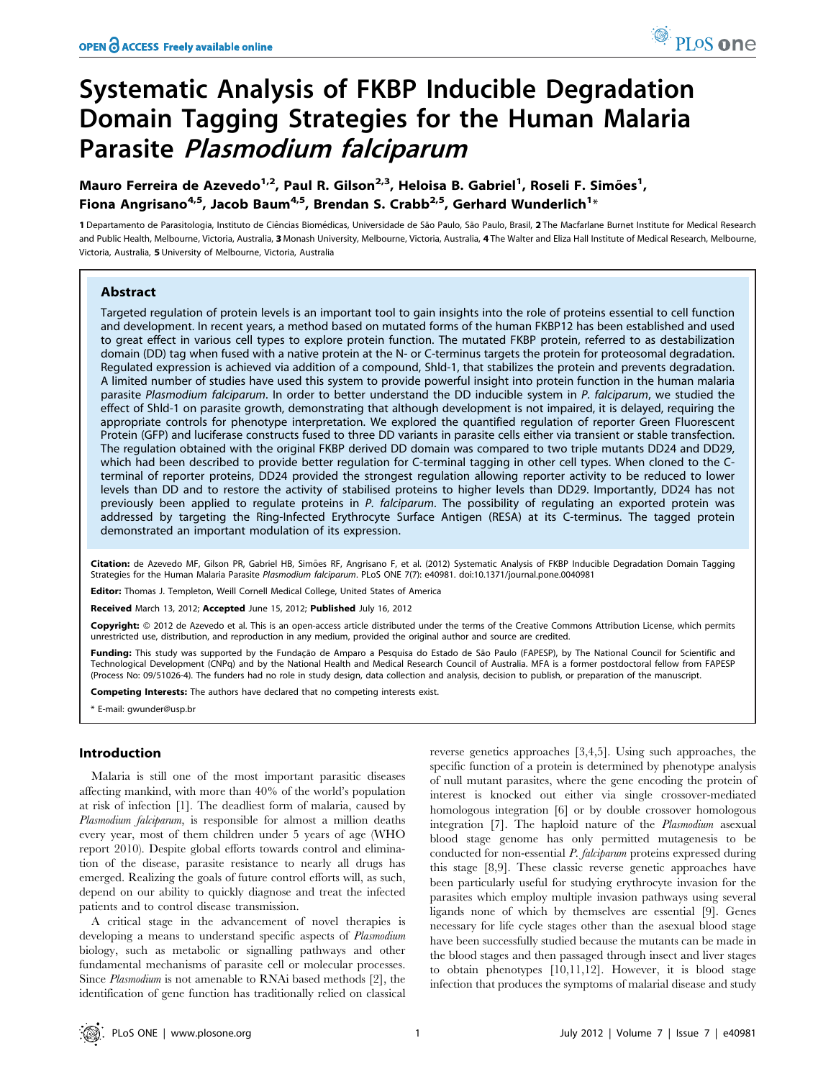# Systematic Analysis of FKBP Inducible Degradation Domain Tagging Strategies for the Human Malaria Parasite Plasmodium falciparum

Mauro Ferreira de Azevedo<sup>1,2</sup>, Paul R. Gilson<sup>2,3</sup>, Heloisa B. Gabriel<sup>1</sup>, Roseli F. Simões<sup>1</sup>, Fiona Angrisano $^{4,5}$ , Jacob Baum $^{4,5}$ , Brendan S. Crabb $^{2,5}$ , Gerhard Wunderlich $^{1_\times}$ 

1 Departamento de Parasitologia, Instituto de Ciências Biomédicas, Universidade de São Paulo, São Paulo, Brasil, 2 The Macfarlane Burnet Institute for Medical Research and Public Health, Melbourne, Victoria, Australia, 3 Monash University, Melbourne, Victoria, Australia, 4 The Walter and Eliza Hall Institute of Medical Research, Melbourne, Victoria, Australia, 5 University of Melbourne, Victoria, Australia

## Abstract

Targeted regulation of protein levels is an important tool to gain insights into the role of proteins essential to cell function and development. In recent years, a method based on mutated forms of the human FKBP12 has been established and used to great effect in various cell types to explore protein function. The mutated FKBP protein, referred to as destabilization domain (DD) tag when fused with a native protein at the N- or C-terminus targets the protein for proteosomal degradation. Regulated expression is achieved via addition of a compound, Shld-1, that stabilizes the protein and prevents degradation. A limited number of studies have used this system to provide powerful insight into protein function in the human malaria parasite Plasmodium falciparum. In order to better understand the DD inducible system in P. falciparum, we studied the effect of Shld-1 on parasite growth, demonstrating that although development is not impaired, it is delayed, requiring the appropriate controls for phenotype interpretation. We explored the quantified regulation of reporter Green Fluorescent Protein (GFP) and luciferase constructs fused to three DD variants in parasite cells either via transient or stable transfection. The regulation obtained with the original FKBP derived DD domain was compared to two triple mutants DD24 and DD29, which had been described to provide better regulation for C-terminal tagging in other cell types. When cloned to the Cterminal of reporter proteins, DD24 provided the strongest regulation allowing reporter activity to be reduced to lower levels than DD and to restore the activity of stabilised proteins to higher levels than DD29. Importantly, DD24 has not previously been applied to regulate proteins in P. falciparum. The possibility of regulating an exported protein was addressed by targeting the Ring-Infected Erythrocyte Surface Antigen (RESA) at its C-terminus. The tagged protein demonstrated an important modulation of its expression.

Citation: de Azevedo MF, Gilson PR, Gabriel HB, Simões RF, Angrisano F, et al. (2012) Systematic Analysis of FKBP Inducible Degradation Domain Tagging Strategies for the Human Malaria Parasite Plasmodium falciparum. PLoS ONE 7(7): e40981. doi:10.1371/journal.pone.0040981

Editor: Thomas J. Templeton, Weill Cornell Medical College, United States of America

Received March 13, 2012; Accepted June 15, 2012; Published July 16, 2012

Copyright: © 2012 de Azevedo et al. This is an open-access article distributed under the terms of the Creative Commons Attribution License, which permits unrestricted use, distribution, and reproduction in any medium, provided the original author and source are credited.

Funding: This study was supported by the Fundação de Amparo a Pesquisa do Estado de São Paulo (FAPESP), by The National Council for Scientific and Technological Development (CNPq) and by the National Health and Medical Research Council of Australia. MFA is a former postdoctoral fellow from FAPESP (Process No: 09/51026-4). The funders had no role in study design, data collection and analysis, decision to publish, or preparation of the manuscript.

Competing Interests: The authors have declared that no competing interests exist.

\* E-mail: gwunder@usp.br

# Introduction

Malaria is still one of the most important parasitic diseases affecting mankind, with more than 40% of the world's population at risk of infection [1]. The deadliest form of malaria, caused by Plasmodium falciparum, is responsible for almost a million deaths every year, most of them children under 5 years of age (WHO report 2010). Despite global efforts towards control and elimination of the disease, parasite resistance to nearly all drugs has emerged. Realizing the goals of future control efforts will, as such, depend on our ability to quickly diagnose and treat the infected patients and to control disease transmission.

A critical stage in the advancement of novel therapies is developing a means to understand specific aspects of Plasmodium biology, such as metabolic or signalling pathways and other fundamental mechanisms of parasite cell or molecular processes. Since Plasmodium is not amenable to RNAi based methods [2], the identification of gene function has traditionally relied on classical reverse genetics approaches [3,4,5]. Using such approaches, the specific function of a protein is determined by phenotype analysis of null mutant parasites, where the gene encoding the protein of interest is knocked out either via single crossover-mediated homologous integration [6] or by double crossover homologous integration [7]. The haploid nature of the Plasmodium asexual blood stage genome has only permitted mutagenesis to be conducted for non-essential P. falciparum proteins expressed during this stage [8,9]. These classic reverse genetic approaches have been particularly useful for studying erythrocyte invasion for the parasites which employ multiple invasion pathways using several ligands none of which by themselves are essential [9]. Genes necessary for life cycle stages other than the asexual blood stage have been successfully studied because the mutants can be made in the blood stages and then passaged through insect and liver stages to obtain phenotypes [10,11,12]. However, it is blood stage infection that produces the symptoms of malarial disease and study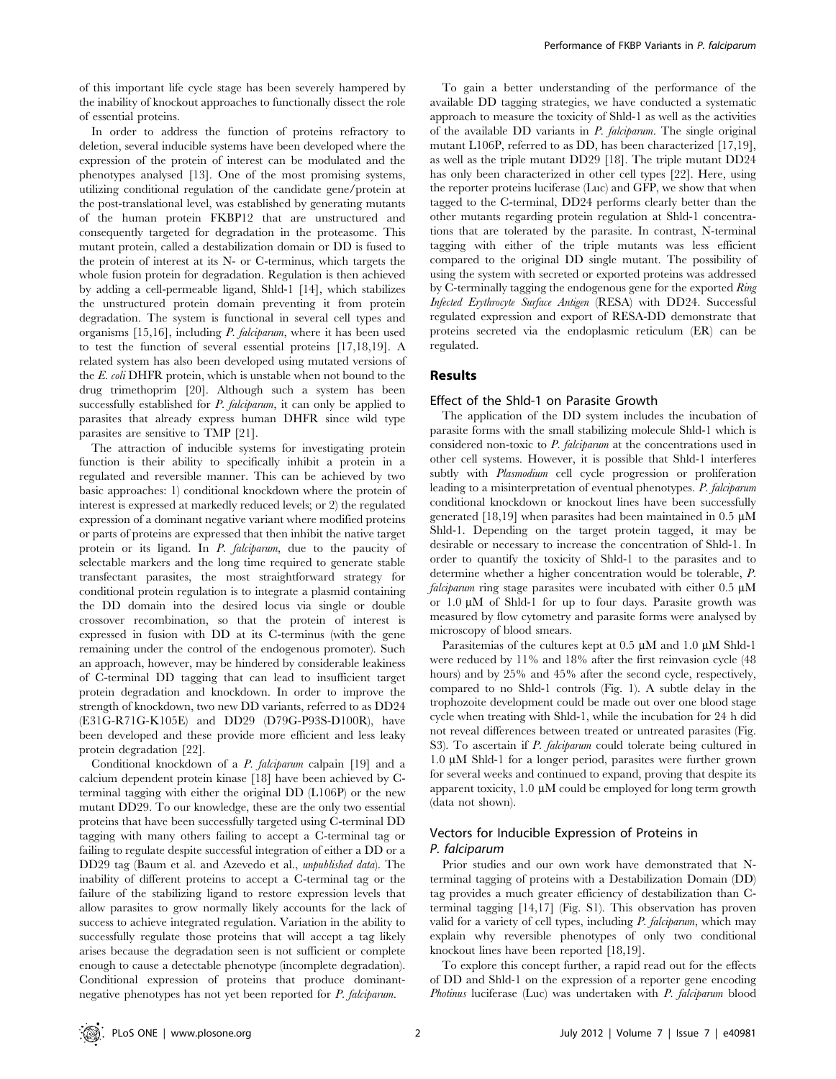of this important life cycle stage has been severely hampered by the inability of knockout approaches to functionally dissect the role of essential proteins.

In order to address the function of proteins refractory to deletion, several inducible systems have been developed where the expression of the protein of interest can be modulated and the phenotypes analysed [13]. One of the most promising systems, utilizing conditional regulation of the candidate gene/protein at the post-translational level, was established by generating mutants of the human protein FKBP12 that are unstructured and consequently targeted for degradation in the proteasome. This mutant protein, called a destabilization domain or DD is fused to the protein of interest at its N- or C-terminus, which targets the whole fusion protein for degradation. Regulation is then achieved by adding a cell-permeable ligand, Shld-1 [14], which stabilizes the unstructured protein domain preventing it from protein degradation. The system is functional in several cell types and organisms [15,16], including P. falciparum, where it has been used to test the function of several essential proteins [17,18,19]. A related system has also been developed using mutated versions of the E. coli DHFR protein, which is unstable when not bound to the drug trimethoprim [20]. Although such a system has been successfully established for  $P$ . falciparum, it can only be applied to parasites that already express human DHFR since wild type parasites are sensitive to TMP [21].

The attraction of inducible systems for investigating protein function is their ability to specifically inhibit a protein in a regulated and reversible manner. This can be achieved by two basic approaches: 1) conditional knockdown where the protein of interest is expressed at markedly reduced levels; or 2) the regulated expression of a dominant negative variant where modified proteins or parts of proteins are expressed that then inhibit the native target protein or its ligand. In *P. falciparum*, due to the paucity of selectable markers and the long time required to generate stable transfectant parasites, the most straightforward strategy for conditional protein regulation is to integrate a plasmid containing the DD domain into the desired locus via single or double crossover recombination, so that the protein of interest is expressed in fusion with DD at its C-terminus (with the gene remaining under the control of the endogenous promoter). Such an approach, however, may be hindered by considerable leakiness of C-terminal DD tagging that can lead to insufficient target protein degradation and knockdown. In order to improve the strength of knockdown, two new DD variants, referred to as DD24 (E31G-R71G-K105E) and DD29 (D79G-P93S-D100R), have been developed and these provide more efficient and less leaky protein degradation [22].

Conditional knockdown of a P. falciparum calpain [19] and a calcium dependent protein kinase [18] have been achieved by Cterminal tagging with either the original DD (L106P) or the new mutant DD29. To our knowledge, these are the only two essential proteins that have been successfully targeted using C-terminal DD tagging with many others failing to accept a C-terminal tag or failing to regulate despite successful integration of either a DD or a DD29 tag (Baum et al. and Azevedo et al., unpublished data). The inability of different proteins to accept a C-terminal tag or the failure of the stabilizing ligand to restore expression levels that allow parasites to grow normally likely accounts for the lack of success to achieve integrated regulation. Variation in the ability to successfully regulate those proteins that will accept a tag likely arises because the degradation seen is not sufficient or complete enough to cause a detectable phenotype (incomplete degradation). Conditional expression of proteins that produce dominantnegative phenotypes has not yet been reported for P. falciparum.

To gain a better understanding of the performance of the available DD tagging strategies, we have conducted a systematic approach to measure the toxicity of Shld-1 as well as the activities of the available DD variants in P. falciparum. The single original mutant L106P, referred to as DD, has been characterized [17,19], as well as the triple mutant DD29 [18]. The triple mutant DD24 has only been characterized in other cell types [22]. Here, using the reporter proteins luciferase (Luc) and GFP, we show that when tagged to the C-terminal, DD24 performs clearly better than the other mutants regarding protein regulation at Shld-1 concentrations that are tolerated by the parasite. In contrast, N-terminal tagging with either of the triple mutants was less efficient compared to the original DD single mutant. The possibility of using the system with secreted or exported proteins was addressed by C-terminally tagging the endogenous gene for the exported Ring Infected Erythrocyte Surface Antigen (RESA) with DD24. Successful regulated expression and export of RESA-DD demonstrate that proteins secreted via the endoplasmic reticulum (ER) can be regulated.

## Results

## Effect of the Shld-1 on Parasite Growth

The application of the DD system includes the incubation of parasite forms with the small stabilizing molecule Shld-1 which is considered non-toxic to P. falciparum at the concentrations used in other cell systems. However, it is possible that Shld-1 interferes subtly with Plasmodium cell cycle progression or proliferation leading to a misinterpretation of eventual phenotypes. P. falciparum conditional knockdown or knockout lines have been successfully generated [18,19] when parasites had been maintained in 0.5  $\mu$ M Shld-1. Depending on the target protein tagged, it may be desirable or necessary to increase the concentration of Shld-1. In order to quantify the toxicity of Shld-1 to the parasites and to determine whether a higher concentration would be tolerable, P. falciparum ring stage parasites were incubated with either  $0.5 \mu M$ or  $1.0 \mu M$  of Shld-1 for up to four days. Parasite growth was measured by flow cytometry and parasite forms were analysed by microscopy of blood smears.

Parasitemias of the cultures kept at  $0.5 \mu M$  and  $1.0 \mu M$  Shld-1 were reduced by 11% and 18% after the first reinvasion cycle (48 hours) and by 25% and 45% after the second cycle, respectively, compared to no Shld-1 controls (Fig. 1). A subtle delay in the trophozoite development could be made out over one blood stage cycle when treating with Shld-1, while the incubation for 24 h did not reveal differences between treated or untreated parasites (Fig. S3). To ascertain if P. falciparum could tolerate being cultured in 1.0 mM Shld-1 for a longer period, parasites were further grown for several weeks and continued to expand, proving that despite its apparent toxicity,  $1.0 \mu M$  could be employed for long term growth (data not shown).

# Vectors for Inducible Expression of Proteins in P. falciparum

Prior studies and our own work have demonstrated that Nterminal tagging of proteins with a Destabilization Domain (DD) tag provides a much greater efficiency of destabilization than Cterminal tagging [14,17] (Fig. S1). This observation has proven valid for a variety of cell types, including P. falciparum, which may explain why reversible phenotypes of only two conditional knockout lines have been reported [18,19].

To explore this concept further, a rapid read out for the effects of DD and Shld-1 on the expression of a reporter gene encoding Photinus luciferase (Luc) was undertaken with P. falciparum blood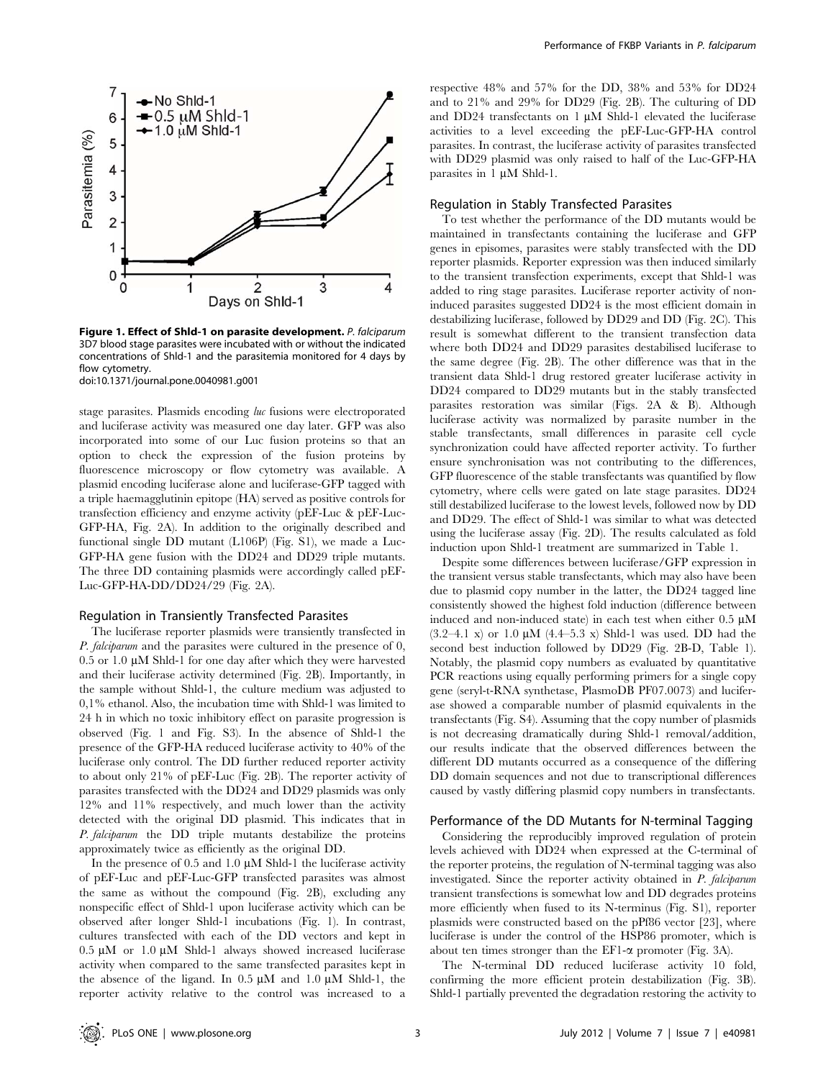

Figure 1. Effect of Shld-1 on parasite development. P. falciparum 3D7 blood stage parasites were incubated with or without the indicated concentrations of Shld-1 and the parasitemia monitored for 4 days by flow cytometry.

doi:10.1371/journal.pone.0040981.g001

stage parasites. Plasmids encoding luc fusions were electroporated and luciferase activity was measured one day later. GFP was also incorporated into some of our Luc fusion proteins so that an option to check the expression of the fusion proteins by fluorescence microscopy or flow cytometry was available. A plasmid encoding luciferase alone and luciferase-GFP tagged with a triple haemagglutinin epitope (HA) served as positive controls for transfection efficiency and enzyme activity (pEF-Luc & pEF-Luc-GFP-HA, Fig. 2A). In addition to the originally described and functional single DD mutant (L106P) (Fig. S1), we made a Luc-GFP-HA gene fusion with the DD24 and DD29 triple mutants. The three DD containing plasmids were accordingly called pEF-Luc-GFP-HA-DD/DD24/29 (Fig. 2A).

## Regulation in Transiently Transfected Parasites

The luciferase reporter plasmids were transiently transfected in P. falciparum and the parasites were cultured in the presence of 0,  $0.5$  or 1.0  $\mu$ M Shld-1 for one day after which they were harvested and their luciferase activity determined (Fig. 2B). Importantly, in the sample without Shld-1, the culture medium was adjusted to 0,1% ethanol. Also, the incubation time with Shld-1 was limited to 24 h in which no toxic inhibitory effect on parasite progression is observed (Fig. 1 and Fig. S3). In the absence of Shld-1 the presence of the GFP-HA reduced luciferase activity to 40% of the luciferase only control. The DD further reduced reporter activity to about only 21% of pEF-Luc (Fig. 2B). The reporter activity of parasites transfected with the DD24 and DD29 plasmids was only 12% and 11% respectively, and much lower than the activity detected with the original DD plasmid. This indicates that in P. falciparum the DD triple mutants destabilize the proteins approximately twice as efficiently as the original DD.

In the presence of 0.5 and 1.0  $\mu$ M Shld-1 the luciferase activity of pEF-Luc and pEF-Luc-GFP transfected parasites was almost the same as without the compound (Fig. 2B), excluding any nonspecific effect of Shld-1 upon luciferase activity which can be observed after longer Shld-1 incubations (Fig. 1). In contrast, cultures transfected with each of the DD vectors and kept in  $0.5 \mu M$  or 1.0  $\mu$ M Shld-1 always showed increased luciferase activity when compared to the same transfected parasites kept in the absence of the ligand. In  $0.5 \mu M$  and  $1.0 \mu M$  Shld-1, the reporter activity relative to the control was increased to a

respective 48% and 57% for the DD, 38% and 53% for DD24 and to 21% and 29% for DD29 (Fig. 2B). The culturing of DD and DD24 transfectants on  $1 \mu M$  Shld-1 elevated the luciferase activities to a level exceeding the pEF-Luc-GFP-HA control parasites. In contrast, the luciferase activity of parasites transfected with DD29 plasmid was only raised to half of the Luc-GFP-HA parasites in  $1 \mu M$  Shld-1.

## Regulation in Stably Transfected Parasites

To test whether the performance of the DD mutants would be maintained in transfectants containing the luciferase and GFP genes in episomes, parasites were stably transfected with the DD reporter plasmids. Reporter expression was then induced similarly to the transient transfection experiments, except that Shld-1 was added to ring stage parasites. Luciferase reporter activity of noninduced parasites suggested DD24 is the most efficient domain in destabilizing luciferase, followed by DD29 and DD (Fig. 2C). This result is somewhat different to the transient transfection data where both DD24 and DD29 parasites destabilised luciferase to the same degree (Fig. 2B). The other difference was that in the transient data Shld-1 drug restored greater luciferase activity in DD24 compared to DD29 mutants but in the stably transfected parasites restoration was similar (Figs. 2A & B). Although luciferase activity was normalized by parasite number in the stable transfectants, small differences in parasite cell cycle synchronization could have affected reporter activity. To further ensure synchronisation was not contributing to the differences, GFP fluorescence of the stable transfectants was quantified by flow cytometry, where cells were gated on late stage parasites. DD24 still destabilized luciferase to the lowest levels, followed now by DD and DD29. The effect of Shld-1 was similar to what was detected using the luciferase assay (Fig. 2D). The results calculated as fold induction upon Shld-1 treatment are summarized in Table 1.

Despite some differences between luciferase/GFP expression in the transient versus stable transfectants, which may also have been due to plasmid copy number in the latter, the DD24 tagged line consistently showed the highest fold induction (difference between induced and non-induced state) in each test when either  $0.5 \mu M$  $(3.2-4.1 \text{ x})$  or 1.0  $\mu$ M  $(4.4-5.3 \text{ x})$  Shld-1 was used. DD had the second best induction followed by DD29 (Fig. 2B-D, Table 1). Notably, the plasmid copy numbers as evaluated by quantitative PCR reactions using equally performing primers for a single copy gene (seryl-t-RNA synthetase, PlasmoDB PF07.0073) and luciferase showed a comparable number of plasmid equivalents in the transfectants (Fig. S4). Assuming that the copy number of plasmids is not decreasing dramatically during Shld-1 removal/addition, our results indicate that the observed differences between the different DD mutants occurred as a consequence of the differing DD domain sequences and not due to transcriptional differences caused by vastly differing plasmid copy numbers in transfectants.

## Performance of the DD Mutants for N-terminal Tagging

Considering the reproducibly improved regulation of protein levels achieved with DD24 when expressed at the C-terminal of the reporter proteins, the regulation of N-terminal tagging was also investigated. Since the reporter activity obtained in P. falciparum transient transfections is somewhat low and DD degrades proteins more efficiently when fused to its N-terminus (Fig. S1), reporter plasmids were constructed based on the pPf86 vector [23], where luciferase is under the control of the HSP86 promoter, which is about ten times stronger than the EF1- $\alpha$  promoter (Fig. 3A).

The N-terminal DD reduced luciferase activity 10 fold, confirming the more efficient protein destabilization (Fig. 3B). Shld-1 partially prevented the degradation restoring the activity to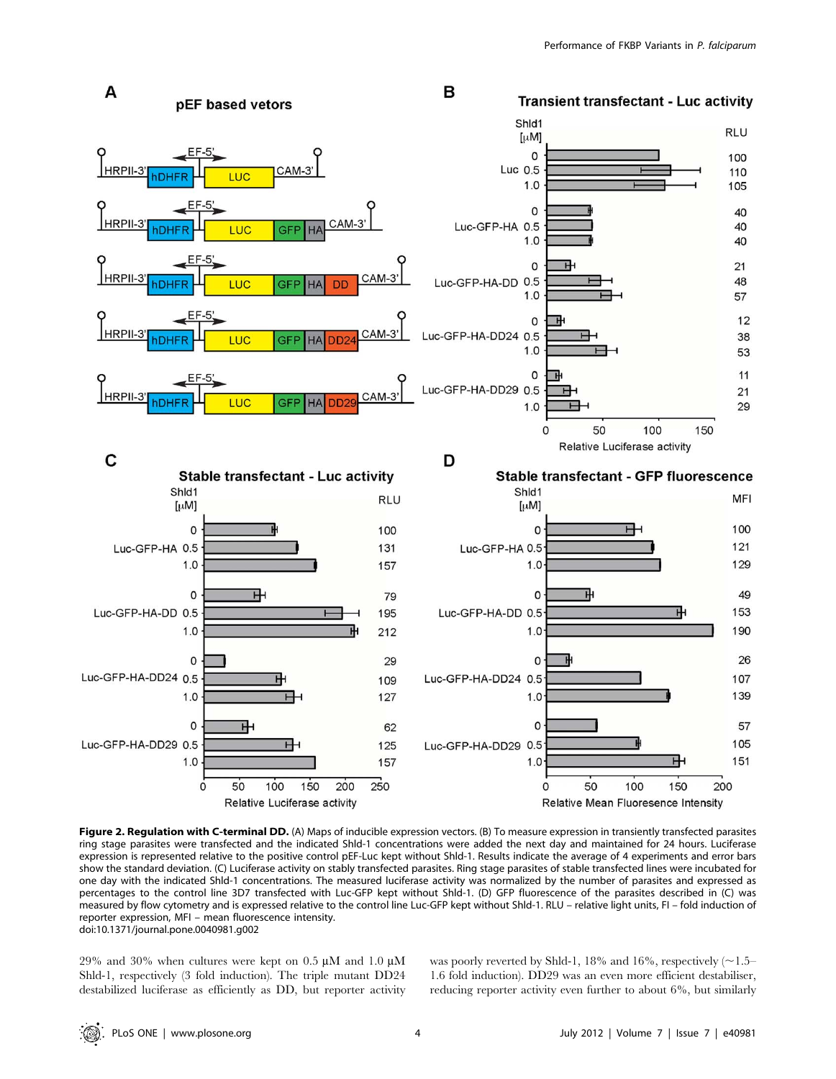

Figure 2. Regulation with C-terminal DD. (A) Maps of inducible expression vectors. (B) To measure expression in transiently transfected parasites ring stage parasites were transfected and the indicated Shld-1 concentrations were added the next day and maintained for 24 hours. Luciferase expression is represented relative to the positive control pEF-Luc kept without Shld-1. Results indicate the average of 4 experiments and error bars show the standard deviation. (C) Luciferase activity on stably transfected parasites. Ring stage parasites of stable transfected lines were incubated for one day with the indicated Shld-1 concentrations. The measured luciferase activity was normalized by the number of parasites and expressed as percentages to the control line 3D7 transfected with Luc-GFP kept without Shld-1. (D) GFP fluorescence of the parasites described in (C) was measured by flow cytometry and is expressed relative to the control line Luc-GFP kept without Shld-1. RLU – relative light units, FI – fold induction of reporter expression, MFI – mean fluorescence intensity. doi:10.1371/journal.pone.0040981.g002

29% and 30% when cultures were kept on 0.5  $\mu$ M and 1.0  $\mu$ M Shld-1, respectively (3 fold induction). The triple mutant DD24 destabilized luciferase as efficiently as DD, but reporter activity was poorly reverted by Shld-1, 18% and 16%, respectively  $(\sim 1.5-$ 1.6 fold induction). DD29 was an even more efficient destabiliser, reducing reporter activity even further to about 6%, but similarly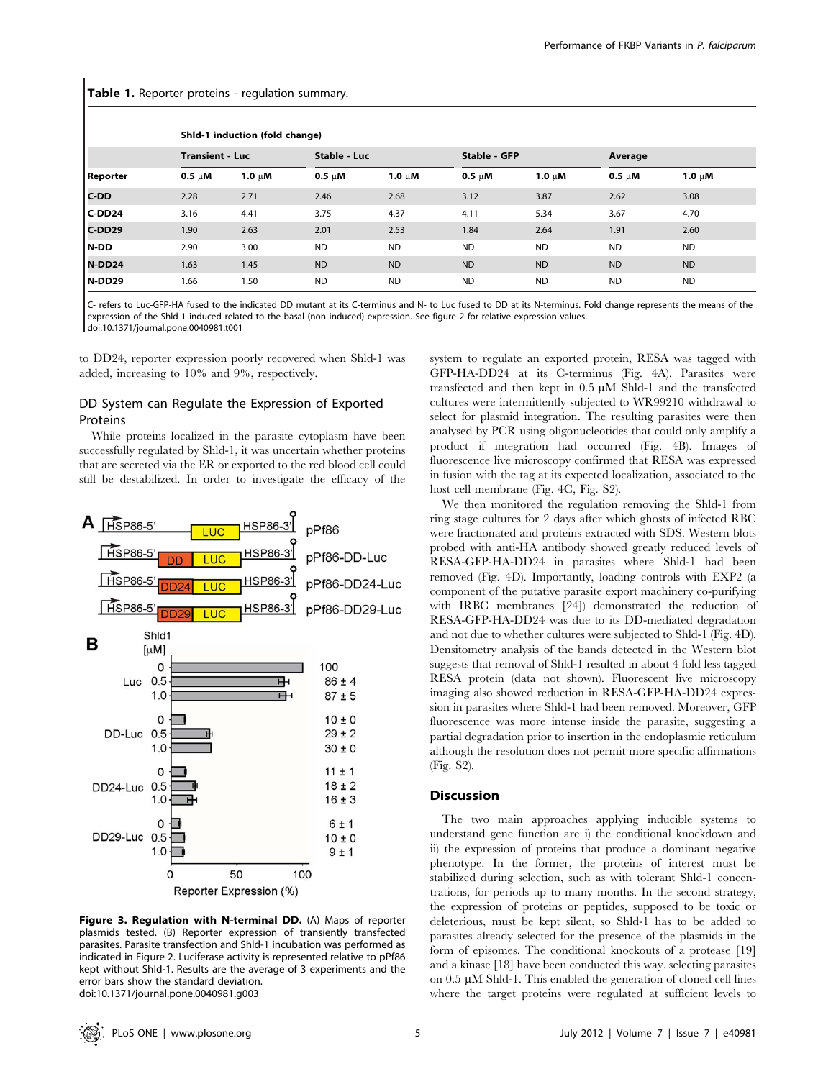## Table 1. Reporter proteins - regulation summary.

| Reporter | Shld-1 induction (fold change) |             |              |             |                     |             |             |             |
|----------|--------------------------------|-------------|--------------|-------------|---------------------|-------------|-------------|-------------|
|          | <b>Transient - Luc</b>         |             | Stable - Luc |             | <b>Stable - GFP</b> |             | Average     |             |
|          | $0.5 \mu M$                    | 1.0 $\mu$ M | $0.5 \mu M$  | 1.0 $\mu$ M | $0.5 \mu M$         | 1.0 $\mu$ M | $0.5 \mu M$ | 1.0 $\mu$ M |
| $C-DD$   | 2.28                           | 2.71        | 2.46         | 2.68        | 3.12                | 3.87        | 2.62        | 3.08        |
| C-DD24   | 3.16                           | 4.41        | 3.75         | 4.37        | 4.11                | 5.34        | 3.67        | 4.70        |
| $C-DD29$ | 1.90                           | 2.63        | 2.01         | 2.53        | 1.84                | 2.64        | 1.91        | 2.60        |
| N-DD     | 2.90                           | 3.00        | <b>ND</b>    | <b>ND</b>   | <b>ND</b>           | <b>ND</b>   | <b>ND</b>   | <b>ND</b>   |
| N-DD24   | 1.63                           | 1.45        | <b>ND</b>    | <b>ND</b>   | <b>ND</b>           | <b>ND</b>   | <b>ND</b>   | <b>ND</b>   |
| N-DD29   | 1.66                           | 1.50        | <b>ND</b>    | <b>ND</b>   | <b>ND</b>           | <b>ND</b>   | <b>ND</b>   | <b>ND</b>   |

C- refers to Luc-GFP-HA fused to the indicated DD mutant at its C-terminus and N- to Luc fused to DD at its N-terminus. Fold change represents the means of the expression of the Shld-1 induced related to the basal (non induced) expression. See figure 2 for relative expression values. doi:10.1371/journal.pone.0040981.t001

to DD24, reporter expression poorly recovered when Shld-1 was added, increasing to 10% and 9%, respectively.

# DD System can Regulate the Expression of Exported Proteins

While proteins localized in the parasite cytoplasm have been successfully regulated by Shld-1, it was uncertain whether proteins that are secreted via the ER or exported to the red blood cell could still be destabilized. In order to investigate the efficacy of the



Figure 3. Regulation with N-terminal DD. (A) Maps of reporter plasmids tested. (B) Reporter expression of transiently transfected parasites. Parasite transfection and Shld-1 incubation was performed as indicated in Figure 2. Luciferase activity is represented relative to pPf86 kept without Shld-1. Results are the average of 3 experiments and the error bars show the standard deviation. doi:10.1371/journal.pone.0040981.g003

system to regulate an exported protein, RESA was tagged with GFP-HA-DD24 at its C-terminus (Fig. 4A). Parasites were transfected and then kept in  $0.5 \mu M$  Shld-1 and the transfected cultures were intermittently subjected to WR99210 withdrawal to select for plasmid integration. The resulting parasites were then analysed by PCR using oligonucleotides that could only amplify a product if integration had occurred (Fig. 4B). Images of fluorescence live microscopy confirmed that RESA was expressed in fusion with the tag at its expected localization, associated to the host cell membrane (Fig. 4C, Fig. S2).

We then monitored the regulation removing the Shld-1 from ring stage cultures for 2 days after which ghosts of infected RBC were fractionated and proteins extracted with SDS. Western blots probed with anti-HA antibody showed greatly reduced levels of RESA-GFP-HA-DD24 in parasites where Shld-1 had been removed (Fig. 4D). Importantly, loading controls with EXP2 (a component of the putative parasite export machinery co-purifying with IRBC membranes [24]) demonstrated the reduction of RESA-GFP-HA-DD24 was due to its DD-mediated degradation and not due to whether cultures were subjected to Shld-1 (Fig. 4D). Densitometry analysis of the bands detected in the Western blot suggests that removal of Shld-1 resulted in about 4 fold less tagged RESA protein (data not shown). Fluorescent live microscopy imaging also showed reduction in RESA-GFP-HA-DD24 expression in parasites where Shld-1 had been removed. Moreover, GFP fluorescence was more intense inside the parasite, suggesting a partial degradation prior to insertion in the endoplasmic reticulum although the resolution does not permit more specific affirmations (Fig. S2).

# Discussion

The two main approaches applying inducible systems to understand gene function are i) the conditional knockdown and ii) the expression of proteins that produce a dominant negative phenotype. In the former, the proteins of interest must be stabilized during selection, such as with tolerant Shld-1 concentrations, for periods up to many months. In the second strategy, the expression of proteins or peptides, supposed to be toxic or deleterious, must be kept silent, so Shld-1 has to be added to parasites already selected for the presence of the plasmids in the form of episomes. The conditional knockouts of a protease [19] and a kinase [18] have been conducted this way, selecting parasites on  $0.5 \mu M$  Shld-1. This enabled the generation of cloned cell lines where the target proteins were regulated at sufficient levels to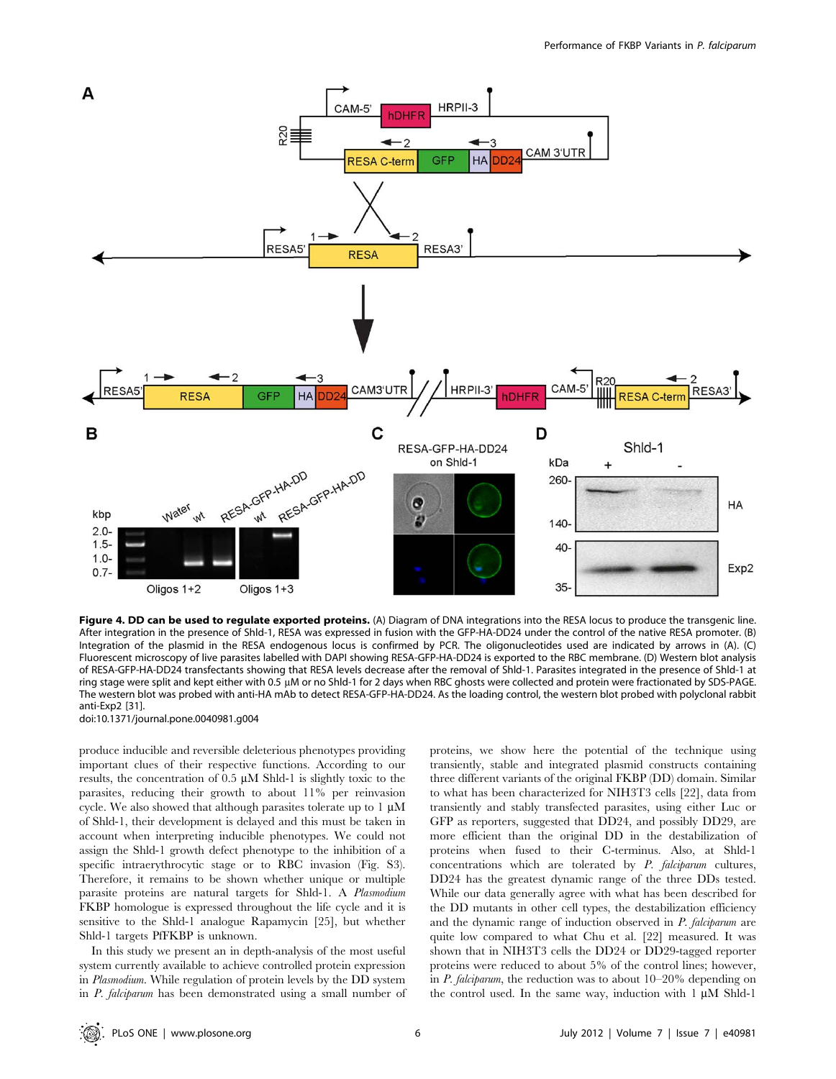

Figure 4. DD can be used to regulate exported proteins. (A) Diagram of DNA integrations into the RESA locus to produce the transgenic line. After integration in the presence of Shld-1, RESA was expressed in fusion with the GFP-HA-DD24 under the control of the native RESA promoter. (B) Integration of the plasmid in the RESA endogenous locus is confirmed by PCR. The oligonucleotides used are indicated by arrows in (A). (C) Fluorescent microscopy of live parasites labelled with DAPI showing RESA-GFP-HA-DD24 is exported to the RBC membrane. (D) Western blot analysis of RESA-GFP-HA-DD24 transfectants showing that RESA levels decrease after the removal of Shld-1. Parasites integrated in the presence of Shld-1 at ring stage were split and kept either with 0.5 µM or no Shld-1 for 2 days when RBC ghosts were collected and protein were fractionated by SDS-PAGE. The western blot was probed with anti-HA mAb to detect RESA-GFP-HA-DD24. As the loading control, the western blot probed with polyclonal rabbit anti-Exp2 [31].

doi:10.1371/journal.pone.0040981.g004

produce inducible and reversible deleterious phenotypes providing important clues of their respective functions. According to our results, the concentration of  $0.5 \mu M$  Shld-1 is slightly toxic to the parasites, reducing their growth to about 11% per reinvasion cycle. We also showed that although parasites tolerate up to  $1 \mu$ M of Shld-1, their development is delayed and this must be taken in account when interpreting inducible phenotypes. We could not assign the Shld-1 growth defect phenotype to the inhibition of a specific intraerythrocytic stage or to RBC invasion (Fig. S3). Therefore, it remains to be shown whether unique or multiple parasite proteins are natural targets for Shld-1. A Plasmodium FKBP homologue is expressed throughout the life cycle and it is sensitive to the Shld-1 analogue Rapamycin [25], but whether Shld-1 targets PfFKBP is unknown.

In this study we present an in depth-analysis of the most useful system currently available to achieve controlled protein expression in Plasmodium. While regulation of protein levels by the DD system in P. falciparum has been demonstrated using a small number of proteins, we show here the potential of the technique using transiently, stable and integrated plasmid constructs containing three different variants of the original FKBP (DD) domain. Similar to what has been characterized for NIH3T3 cells [22], data from transiently and stably transfected parasites, using either Luc or GFP as reporters, suggested that DD24, and possibly DD29, are more efficient than the original DD in the destabilization of proteins when fused to their C-terminus. Also, at Shld-1 concentrations which are tolerated by P. falciparum cultures, DD24 has the greatest dynamic range of the three DDs tested. While our data generally agree with what has been described for the DD mutants in other cell types, the destabilization efficiency and the dynamic range of induction observed in P. falciparum are quite low compared to what Chu et al. [22] measured. It was shown that in NIH3T3 cells the DD24 or DD29-tagged reporter proteins were reduced to about 5% of the control lines; however, in P. falciparum, the reduction was to about 10–20% depending on the control used. In the same way, induction with  $1 \mu M$  Shld-1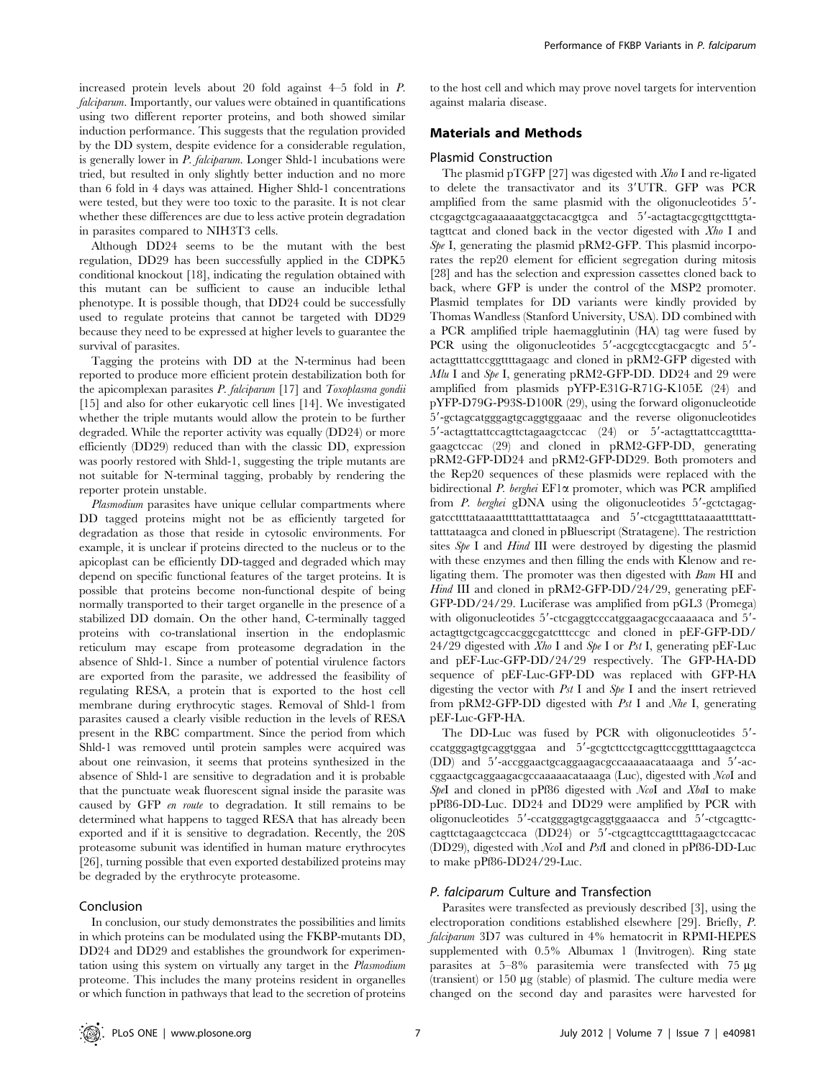increased protein levels about 20 fold against 4–5 fold in P. falciparum. Importantly, our values were obtained in quantifications using two different reporter proteins, and both showed similar induction performance. This suggests that the regulation provided by the DD system, despite evidence for a considerable regulation, is generally lower in P. falciparum. Longer Shld-1 incubations were tried, but resulted in only slightly better induction and no more than 6 fold in 4 days was attained. Higher Shld-1 concentrations were tested, but they were too toxic to the parasite. It is not clear whether these differences are due to less active protein degradation in parasites compared to NIH3T3 cells.

Although DD24 seems to be the mutant with the best regulation, DD29 has been successfully applied in the CDPK5 conditional knockout [18], indicating the regulation obtained with this mutant can be sufficient to cause an inducible lethal phenotype. It is possible though, that DD24 could be successfully used to regulate proteins that cannot be targeted with DD29 because they need to be expressed at higher levels to guarantee the survival of parasites.

Tagging the proteins with DD at the N-terminus had been reported to produce more efficient protein destabilization both for the apicomplexan parasites P. falciparum [17] and Toxoplasma gondii [15] and also for other eukaryotic cell lines [14]. We investigated whether the triple mutants would allow the protein to be further degraded. While the reporter activity was equally (DD24) or more efficiently (DD29) reduced than with the classic DD, expression was poorly restored with Shld-1, suggesting the triple mutants are not suitable for N-terminal tagging, probably by rendering the reporter protein unstable.

Plasmodium parasites have unique cellular compartments where DD tagged proteins might not be as efficiently targeted for degradation as those that reside in cytosolic environments. For example, it is unclear if proteins directed to the nucleus or to the apicoplast can be efficiently DD-tagged and degraded which may depend on specific functional features of the target proteins. It is possible that proteins become non-functional despite of being normally transported to their target organelle in the presence of a stabilized DD domain. On the other hand, C-terminally tagged proteins with co-translational insertion in the endoplasmic reticulum may escape from proteasome degradation in the absence of Shld-1. Since a number of potential virulence factors are exported from the parasite, we addressed the feasibility of regulating RESA, a protein that is exported to the host cell membrane during erythrocytic stages. Removal of Shld-1 from parasites caused a clearly visible reduction in the levels of RESA present in the RBC compartment. Since the period from which Shld-1 was removed until protein samples were acquired was about one reinvasion, it seems that proteins synthesized in the absence of Shld-1 are sensitive to degradation and it is probable that the punctuate weak fluorescent signal inside the parasite was caused by GFP en route to degradation. It still remains to be determined what happens to tagged RESA that has already been exported and if it is sensitive to degradation. Recently, the 20S proteasome subunit was identified in human mature erythrocytes [26], turning possible that even exported destabilized proteins may be degraded by the erythrocyte proteasome.

# Conclusion

In conclusion, our study demonstrates the possibilities and limits in which proteins can be modulated using the FKBP-mutants DD, DD24 and DD29 and establishes the groundwork for experimentation using this system on virtually any target in the Plasmodium proteome. This includes the many proteins resident in organelles or which function in pathways that lead to the secretion of proteins

to the host cell and which may prove novel targets for intervention against malaria disease.

# Materials and Methods

## Plasmid Construction

The plasmid pTGFP [27] was digested with  $Xho I$  and re-ligated to delete the transactivator and its 3'UTR. GFP was PCR amplified from the same plasmid with the oligonucleotides 5'ctcgagctgcagaaaaaatggctacacgtgca and 5'-actagtacgcgttgctttgtatagttcat and cloned back in the vector digested with Xho I and  $Spe$  I, generating the plasmid pRM2-GFP. This plasmid incorporates the rep20 element for efficient segregation during mitosis [28] and has the selection and expression cassettes cloned back to back, where GFP is under the control of the MSP2 promoter. Plasmid templates for DD variants were kindly provided by Thomas Wandless (Stanford University, USA). DD combined with a PCR amplified triple haemagglutinin (HA) tag were fused by PCR using the oligonucleotides 5'-acgcgtccgtacgacgtc and 5'actagtttattccggttttagaagc and cloned in pRM2-GFP digested with Mlu I and Spe I, generating pRM2-GFP-DD. DD24 and 29 were amplified from plasmids pYFP-E31G-R71G-K105E (24) and pYFP-D79G-P93S-D100R (29), using the forward oligonucleotide 5'-gctagcatgggagtgcaggtggaaac and the reverse oligonucleotides 5'-actagttattccagttctagaagctccac (24) or 5'-actagttattccagttttagaagctccac (29) and cloned in pRM2-GFP-DD, generating pRM2-GFP-DD24 and pRM2-GFP-DD29. Both promoters and the Rep20 sequences of these plasmids were replaced with the bidirectional P. berghei EF1 $\alpha$  promoter, which was PCR amplified from  $P$ . berghei gDNA using the oligonucleotides  $5'$ -gctctagaggatccttttataaaatttttatttatttataagca and 5'-ctcgagttttataaaatttttatttatttataagca and cloned in pBluescript (Stratagene). The restriction sites Spe I and Hind III were destroyed by digesting the plasmid with these enzymes and then filling the ends with Klenow and religating them. The promoter was then digested with Bam HI and Hind III and cloned in pRM2-GFP-DD/24/29, generating pEF-GFP-DD/24/29. Luciferase was amplified from pGL3 (Promega) with oligonucleotides 5'-ctcgaggtcccatggaagacgccaaaaaca and 5'actagttgctgcagccacggcgatctttccgc and cloned in pEF-GFP-DD/ 24/29 digested with  $X$ ho I and Spe I or Pst I, generating pEF-Luc and pEF-Luc-GFP-DD/24/29 respectively. The GFP-HA-DD sequence of pEF-Luc-GFP-DD was replaced with GFP-HA digesting the vector with Pst I and Spe I and the insert retrieved from pRM2-GFP-DD digested with Pst I and Nhe I, generating pEF-Luc-GFP-HA.

The DD-Luc was fused by PCR with oligonucleotides 5'ccatgggagtgcaggtggaa and 59-gcgtcttcctgcagttccggttttagaagctcca  $(DD)$  and  $5'$ -accggaactgcaggaagacgccaaaaacataaaga and  $5'$ -accggaactgcaggaagacgccaaaaacataaaga (Luc), digested with NcoI and SpeI and cloned in pPf86 digested with NcoI and XbaI to make pPf86-DD-Luc. DD24 and DD29 were amplified by PCR with oligonucleotides 5'-ccatgggagtgcaggtggaaacca and 5'-ctgcagttccagttctagaagctccaca (DD24) or 5'-ctgcagttccagttttagaagctccacac (DD29), digested with NcoI and PstI and cloned in pPf86-DD-Luc to make pPf86-DD24/29-Luc.

# P. falciparum Culture and Transfection

Parasites were transfected as previously described [3], using the electroporation conditions established elsewhere [29]. Briefly, P. falciparum 3D7 was cultured in 4% hematocrit in RPMI-HEPES supplemented with 0.5% Albumax 1 (Invitrogen). Ring state parasites at  $5-8\%$  parasitemia were transfected with 75  $\mu$ g (transient) or 150 mg (stable) of plasmid. The culture media were changed on the second day and parasites were harvested for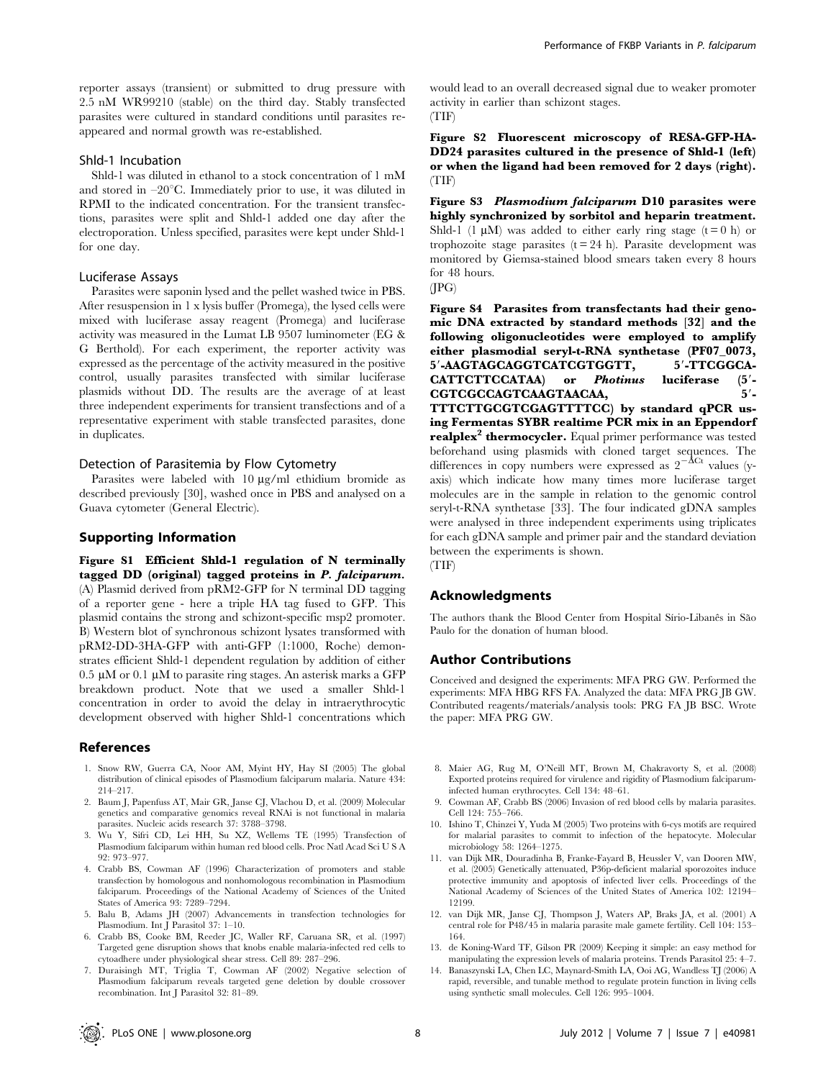reporter assays (transient) or submitted to drug pressure with 2.5 nM WR99210 (stable) on the third day. Stably transfected parasites were cultured in standard conditions until parasites reappeared and normal growth was re-established.

#### Shld-1 Incubation

Shld-1 was diluted in ethanol to a stock concentration of 1 mM and stored in  $-20^{\circ}$ C. Immediately prior to use, it was diluted in RPMI to the indicated concentration. For the transient transfections, parasites were split and Shld-1 added one day after the electroporation. Unless specified, parasites were kept under Shld-1 for one day.

## Luciferase Assays

Parasites were saponin lysed and the pellet washed twice in PBS. After resuspension in 1 x lysis buffer (Promega), the lysed cells were mixed with luciferase assay reagent (Promega) and luciferase activity was measured in the Lumat LB 9507 luminometer (EG & G Berthold). For each experiment, the reporter activity was expressed as the percentage of the activity measured in the positive control, usually parasites transfected with similar luciferase plasmids without DD. The results are the average of at least three independent experiments for transient transfections and of a representative experiment with stable transfected parasites, done in duplicates.

#### Detection of Parasitemia by Flow Cytometry

Parasites were labeled with 10  $\mu$ g/ml ethidium bromide as described previously [30], washed once in PBS and analysed on a Guava cytometer (General Electric).

### Supporting Information

Figure S1 Efficient Shld-1 regulation of N terminally tagged DD (original) tagged proteins in P. falciparum. (A) Plasmid derived from pRM2-GFP for N terminal DD tagging of a reporter gene - here a triple HA tag fused to GFP. This plasmid contains the strong and schizont-specific msp2 promoter. B) Western blot of synchronous schizont lysates transformed with pRM2-DD-3HA-GFP with anti-GFP (1:1000, Roche) demonstrates efficient Shld-1 dependent regulation by addition of either  $0.5 \mu M$  or  $0.1 \mu M$  to parasite ring stages. An asterisk marks a GFP breakdown product. Note that we used a smaller Shld-1 concentration in order to avoid the delay in intraerythrocytic development observed with higher Shld-1 concentrations which

## References

- 1. Snow RW, Guerra CA, Noor AM, Myint HY, Hay SI (2005) The global distribution of clinical episodes of Plasmodium falciparum malaria. Nature 434: 214–217.
- 2. Baum J, Papenfuss AT, Mair GR, Janse CJ, Vlachou D, et al. (2009) Molecular genetics and comparative genomics reveal RNAi is not functional in malaria parasites. Nucleic acids research 37: 3788–3798.
- 3. Wu Y, Sifri CD, Lei HH, Su XZ, Wellems TE (1995) Transfection of Plasmodium falciparum within human red blood cells. Proc Natl Acad Sci U S A 92: 973–977.
- 4. Crabb BS, Cowman AF (1996) Characterization of promoters and stable transfection by homologous and nonhomologous recombination in Plasmodium falciparum. Proceedings of the National Academy of Sciences of the United States of America 93: 7289–7294.
- 5. Balu B, Adams JH (2007) Advancements in transfection technologies for Plasmodium. Int J Parasitol 37: 1–10.
- 6. Crabb BS, Cooke BM, Reeder JC, Waller RF, Caruana SR, et al. (1997) Targeted gene disruption shows that knobs enable malaria-infected red cells to cytoadhere under physiological shear stress. Cell 89: 287–296.
- 7. Duraisingh MT, Triglia T, Cowman AF (2002) Negative selection of Plasmodium falciparum reveals targeted gene deletion by double crossover recombination. Int J Parasitol 32: 81–89.

would lead to an overall decreased signal due to weaker promoter activity in earlier than schizont stages. (TIF)

Figure S2 Fluorescent microscopy of RESA-GFP-HA-DD24 parasites cultured in the presence of Shld-1 (left) or when the ligand had been removed for 2 days (right). (TIF)

Figure S3 Plasmodium falciparum D10 parasites were highly synchronized by sorbitol and heparin treatment. Shld-1 (1  $\mu$ M) was added to either early ring stage (t = 0 h) or trophozoite stage parasites  $(t = 24 h)$ . Parasite development was monitored by Giemsa-stained blood smears taken every 8 hours for 48 hours.

(JPG)

Figure S4 Parasites from transfectants had their genomic DNA extracted by standard methods [32] and the following oligonucleotides were employed to amplify either plasmodial seryl-t-RNA synthetase (PF07\_0073, 5'-AAGTAGCAGGTCATCGTGGTT, 5'-TTCGGCA-CATTCTTCCATAA) or *Photinus* luciferase (5'-<br>CGTCGCCAGTCAAGTAACAA. 5'-CGTCGCCAGTCAAGTAACAA, TTTCTTGCGTCGAGTTTTCC) by standard qPCR using Fermentas SYBR realtime PCR mix in an Eppendorf realplex<sup>2</sup> thermocycler. Equal primer performance was tested beforehand using plasmids with cloned target sequences. The differences in copy numbers were expressed as  $2^{-\Delta Ct}$  values (yaxis) which indicate how many times more luciferase target molecules are in the sample in relation to the genomic control seryl-t-RNA synthetase [33]. The four indicated gDNA samples were analysed in three independent experiments using triplicates for each gDNA sample and primer pair and the standard deviation between the experiments is shown. (TIF)

## Acknowledgments

The authors thank the Blood Center from Hospital Sírio-Libanês in São Paulo for the donation of human blood.

## Author Contributions

Conceived and designed the experiments: MFA PRG GW. Performed the experiments: MFA HBG RFS FA. Analyzed the data: MFA PRG JB GW. Contributed reagents/materials/analysis tools: PRG FA JB BSC. Wrote the paper: MFA PRG GW.

- 8. Maier AG, Rug M, O'Neill MT, Brown M, Chakravorty S, et al. (2008) Exported proteins required for virulence and rigidity of Plasmodium falciparuminfected human erythrocytes. Cell 134: 48–61.
- 9. Cowman AF, Crabb BS (2006) Invasion of red blood cells by malaria parasites. Cell 124: 755–766.
- 10. Ishino T, Chinzei Y, Yuda M (2005) Two proteins with 6-cys motifs are required for malarial parasites to commit to infection of the hepatocyte. Molecular microbiology 58: 1264–1275.
- 11. van Dijk MR, Douradinha B, Franke-Fayard B, Heussler V, van Dooren MW, et al. (2005) Genetically attenuated, P36p-deficient malarial sporozoites induce protective immunity and apoptosis of infected liver cells. Proceedings of the National Academy of Sciences of the United States of America 102: 12194– 12199.
- 12. van Dijk MR, Janse CJ, Thompson J, Waters AP, Braks JA, et al. (2001) A central role for P48/45 in malaria parasite male gamete fertility. Cell 104: 153– 164.
- 13. de Koning-Ward TF, Gilson PR (2009) Keeping it simple: an easy method for manipulating the expression levels of malaria proteins. Trends Parasitol 25: 4–7.
- 14. Banaszynski LA, Chen LC, Maynard-Smith LA, Ooi AG, Wandless TJ (2006) A rapid, reversible, and tunable method to regulate protein function in living cells using synthetic small molecules. Cell 126: 995–1004.